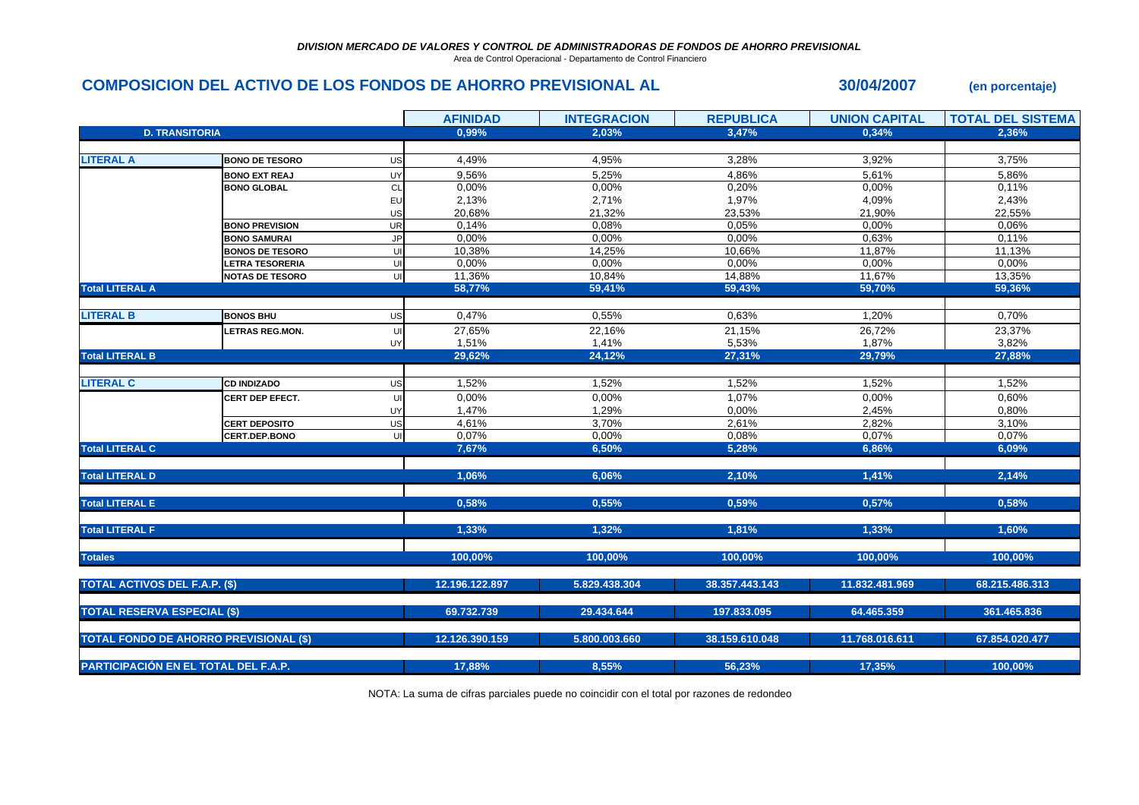Area de Control Operacional - Departamento de Control Financiero

## **COMPOSICION DEL ACTIVO DE LOS FONDOS DE AHORRO PREVISIONAL AL 30/04/2007 (en porcentaje)**

|                                      |                                               |           | <b>AFINIDAD</b> | <b>INTEGRACION</b> | <b>REPUBLICA</b> | <b>UNION CAPITAL</b> | <b>TOTAL DEL SISTEMA</b> |
|--------------------------------------|-----------------------------------------------|-----------|-----------------|--------------------|------------------|----------------------|--------------------------|
| <b>D. TRANSITORIA</b>                |                                               |           | 0,99%           | 2,03%              | 3,47%            | 0.34%                | 2.36%                    |
|                                      |                                               |           |                 |                    |                  |                      |                          |
| <b>LITERAL A</b>                     | <b>BONO DE TESORO</b>                         | US        | 4,49%           | 4,95%              | 3,28%            | 3,92%                | 3,75%                    |
|                                      | <b>BONO EXT REAJ</b>                          | UY        | 9.56%           | 5.25%              | 4.86%            | 5,61%                | 5,86%                    |
|                                      | <b>BONO GLOBAL</b>                            | <b>CL</b> | 0,00%           | 0,00%              | 0,20%            | 0,00%                | 0,11%                    |
|                                      |                                               | EU        | 2,13%           | 2,71%              | 1,97%            | 4,09%                | 2,43%                    |
|                                      |                                               | US        | 20,68%          | 21,32%             | 23,53%           | 21,90%               | 22,55%                   |
|                                      | <b>BONO PREVISION</b>                         | UR        | 0.14%           | 0,08%              | 0,05%            | 0.00%                | 0,06%                    |
|                                      | <b>BONO SAMURAI</b>                           | JP        | 0,00%           | 0,00%              | 0,00%            | 0,63%                | 0,11%                    |
|                                      | <b>BONOS DE TESORO</b>                        | UI        | 10,38%          | 14,25%             | 10,66%           | 11,87%               | 11,13%                   |
|                                      | <b>LETRA TESORERIA</b>                        | UI        | 0,00%           | 0,00%              | 0,00%            | 0,00%                | 0,00%                    |
|                                      | <b>NOTAS DE TESORO</b>                        | UI        | 11,36%          | 10,84%             | 14,88%           | 11,67%               | 13,35%                   |
| <b>Total LITERAL A</b>               |                                               |           | 58,77%          | 59,41%             | 59,43%           | 59,70%               | 59,36%                   |
|                                      |                                               |           |                 |                    |                  |                      |                          |
| <b>LITERAL B</b>                     | <b>BONOS BHU</b>                              | US        | 0,47%           | 0,55%              | 0,63%            | 1,20%                | 0,70%                    |
|                                      | <b>LETRAS REG.MON.</b>                        | UI        | 27,65%          | 22,16%             | 21,15%           | 26,72%               | 23,37%                   |
|                                      |                                               | UY        | 1,51%           | 1,41%              | 5,53%            | 1,87%                | 3,82%                    |
| <b>Total LITERAL B</b>               |                                               |           | 29,62%          | 24,12%             | 27,31%           | 29,79%               | 27,88%                   |
|                                      |                                               |           |                 |                    |                  |                      |                          |
| <b>LITERAL C</b>                     | <b>CD INDIZADO</b>                            | US        | 1,52%           | 1,52%              | 1,52%            | 1,52%                | 1,52%                    |
|                                      | <b>CERT DEP EFECT.</b>                        | UI        | 0,00%           | 0,00%              | 1,07%            | 0,00%                | 0,60%                    |
|                                      |                                               | UY        | 1,47%           | 1,29%              | 0,00%            | 2,45%                | 0,80%                    |
|                                      | <b>CERT DEPOSITO</b>                          | US        | 4,61%           | 3,70%              | 2,61%            | 2,82%                | 3,10%                    |
|                                      | CERT.DEP.BONO                                 | UI        | 0,07%           | 0,00%              | 0,08%            | 0,07%                | 0,07%                    |
| <b>Total LITERAL C</b>               |                                               |           | 7,67%           | 6,50%              | 5,28%            | 6,86%                | 6,09%                    |
|                                      |                                               |           |                 |                    |                  |                      |                          |
| <b>Total LITERAL D</b>               |                                               |           | 1,06%           | 6,06%              | 2,10%            | 1,41%                | 2,14%                    |
|                                      |                                               |           |                 |                    |                  |                      |                          |
| <b>Total LITERAL E</b>               |                                               |           | 0,58%           | 0,55%              | 0,59%            | 0,57%                | 0.58%                    |
|                                      |                                               |           |                 |                    |                  |                      |                          |
| <b>Total LITERAL F</b>               |                                               |           | 1,33%           | 1,32%              | 1,81%            | 1,33%                | 1,60%                    |
|                                      |                                               |           |                 |                    |                  |                      |                          |
|                                      |                                               |           | 100,00%         |                    |                  |                      |                          |
| <b>Totales</b>                       |                                               |           |                 | 100,00%            | 100,00%          | 100,00%              | 100,00%                  |
|                                      |                                               |           |                 |                    |                  |                      |                          |
| <b>TOTAL ACTIVOS DEL F.A.P. (\$)</b> |                                               |           | 12.196.122.897  | 5.829.438.304      | 38.357.443.143   | 11.832.481.969       | 68.215.486.313           |
|                                      |                                               |           |                 |                    |                  |                      |                          |
| <b>TOTAL RESERVA ESPECIAL (\$)</b>   |                                               |           | 69.732.739      | 29.434.644         | 197.833.095      | 64.465.359           | 361.465.836              |
|                                      |                                               |           |                 |                    |                  |                      |                          |
|                                      | <b>TOTAL FONDO DE AHORRO PREVISIONAL (\$)</b> |           | 12.126.390.159  | 5.800.003.660      | 38.159.610.048   | 11.768.016.611       | 67.854.020.477           |
|                                      |                                               |           |                 |                    |                  |                      |                          |
| PARTICIPACIÓN EN EL TOTAL DEL F.A.P. |                                               |           | 17,88%          | 8,55%              | 56,23%           | 17,35%               | 100,00%                  |

NOTA: La suma de cifras parciales puede no coincidir con el total por razones de redondeo